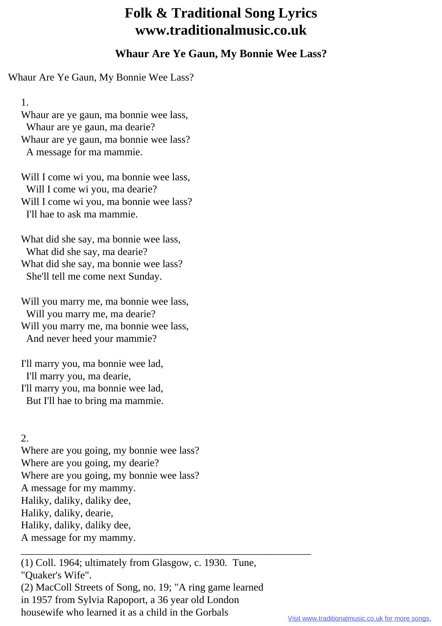## **Folk & Traditional Song Lyrics www.traditionalmusic.co.uk**

## **Whaur Are Ye Gaun, My Bonnie Wee Lass?**

Whaur Are Ye Gaun, My Bonnie Wee Lass?

1.

 Whaur are ye gaun, ma bonnie wee lass, Whaur are ye gaun, ma dearie? Whaur are ye gaun, ma bonnie wee lass? A message for ma mammie.

Will I come wi you, ma bonnie wee lass, Will I come wi you, ma dearie? Will I come wi you, ma bonnie wee lass? I'll hae to ask ma mammie.

 What did she say, ma bonnie wee lass, What did she say, ma dearie? What did she say, ma bonnie wee lass? She'll tell me come next Sunday.

 Will you marry me, ma bonnie wee lass, Will you marry me, ma dearie? Will you marry me, ma bonnie wee lass, And never heed your mammie?

 I'll marry you, ma bonnie wee lad, I'll marry you, ma dearie, I'll marry you, ma bonnie wee lad, But I'll hae to bring ma mammie.

## 2.

 Where are you going, my bonnie wee lass? Where are you going, my dearie? Where are you going, my bonnie wee lass? A message for my mammy. Haliky, daliky, daliky dee, Haliky, daliky, dearie, Haliky, daliky, daliky dee, A message for my mammy.

 (1) Coll. 1964; ultimately from Glasgow, c. 1930. Tune, "Quaker's Wife". (2) MacColl Streets of Song, no. 19; "A ring game learned in 1957 from Sylvia Rapoport, a 36 year old London housewife who learned it as a child in the Gorbals

\_\_\_\_\_\_\_\_\_\_\_\_\_\_\_\_\_\_\_\_\_\_\_\_\_\_\_\_\_\_\_\_\_\_\_\_\_\_\_\_\_\_\_\_\_\_\_\_\_\_\_\_\_\_\_\_

Visit www.traditionalmusic.co.uk for more songs.